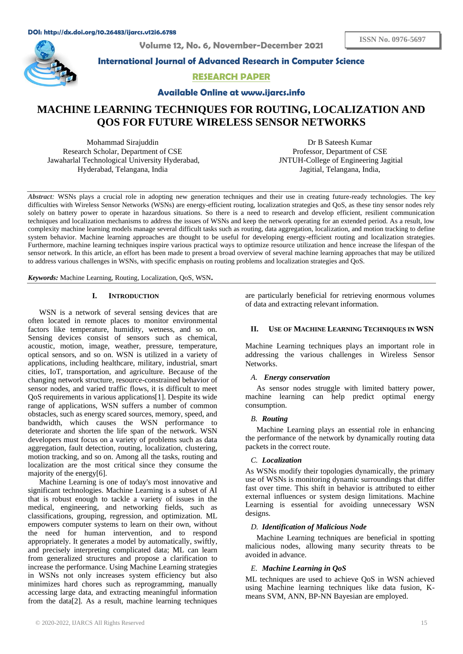**Volume 12, No. 6, November-December 2021**



**International Journal of Advanced Research in Computer Science**

# **RESEARCH PAPER**

# **Available Online at www.ijarcs.info**

# **MACHINE LEARNING TECHNIQUES FOR ROUTING, LOCALIZATION AND QOS FOR FUTURE WIRELESS SENSOR NETWORKS**

Mohammad Sirajuddin Research Scholar, Department of CSE Jawaharlal Technological University Hyderabad, Hyderabad, Telangana, India

Dr B Sateesh Kumar Professor, Department of CSE JNTUH-College of Engineering Jagitial Jagitial, Telangana, India,

*Abstract:* WSNs plays a crucial role in adopting new generation techniques and their use in creating future-ready technologies. The key difficulties with Wireless Sensor Networks (WSNs) are energy-efficient routing, localization strategies and QoS, as these tiny sensor nodes rely solely on battery power to operate in hazardous situations. So there is a need to research and develop efficient, resilient communication techniques and localization mechanisms to address the issues of WSNs and keep the network operating for an extended period. As a result, low complexity machine learning models manage several difficult tasks such as routing, data aggregation, localization, and motion tracking to define system behavior. Machine learning approaches are thought to be useful for developing energy-efficient routing and localization strategies. Furthermore, machine learning techniques inspire various practical ways to optimize resource utilization and hence increase the lifespan of the sensor network. In this article, an effort has been made to present a broad overview of several machine learning approaches that may be utilized to address various challenges in WSNs, with specific emphasis on routing problems and localization strategies and QoS.

*Keywords:* Machine Learning, Routing, Localization, QoS, WSN**.**

#### **I. INTRODUCTION**

WSN is a network of several sensing devices that are often located in remote places to monitor environmental factors like temperature, humidity, wetness, and so on. Sensing devices consist of sensors such as chemical, acoustic, motion, image, weather, pressure, temperature, optical sensors, and so on. WSN is utilized in a variety of applications, including healthcare, military, industrial, smart cities, IoT, transportation, and agriculture. Because of the changing network structure, resource-constrained behavior of sensor nodes, and varied traffic flows, it is difficult to meet QoS requirements in various applications[1]. Despite its wide range of applications, WSN suffers a number of common obstacles, such as energy scared sources, memory, speed, and bandwidth, which causes the WSN performance to deteriorate and shorten the life span of the network. WSN developers must focus on a variety of problems such as data aggregation, fault detection, routing, localization, clustering, motion tracking, and so on. Among all the tasks, routing and localization are the most critical since they consume the majority of the energy[6].

Machine Learning is one of today's most innovative and significant technologies. Machine Learning is a subset of AI that is robust enough to tackle a variety of issues in the medical, engineering, and networking fields, such as classifications, grouping, regression, and optimization. ML empowers computer systems to learn on their own, without the need for human intervention, and to respond appropriately. It generates a model by automatically, swiftly, and precisely interpreting complicated data; ML can learn from generalized structures and propose a clarification to increase the performance. Using Machine Learning strategies in WSNs not only increases system efficiency but also minimizes hard chores such as reprogramming, manually accessing large data, and extracting meaningful information from the data[2]. As a result, machine learning techniques

are particularly beneficial for retrieving enormous volumes of data and extracting relevant information.

# **II. USE OF MACHINE LEARNING TECHNIQUES IN WSN**

Machine Learning techniques plays an important role in addressing the various challenges in Wireless Sensor Networks.

#### *A. Energy conservation*

As sensor nodes struggle with limited battery power, machine learning can help predict optimal energy consumption.

#### *B. Routing*

Machine Learning plays an essential role in enhancing the performance of the network by dynamically routing data packets in the correct route.

#### *C. Localization*

As WSNs modify their topologies dynamically, the primary use of WSNs is monitoring dynamic surroundings that differ fast over time. This shift in behavior is attributed to either external influences or system design limitations. Machine Learning is essential for avoiding unnecessary WSN designs.

#### *D. Identification of Malicious Node*

Machine Learning techniques are beneficial in spotting malicious nodes, allowing many security threats to be avoided in advance.

#### *E. Machine Learning in QoS*

ML techniques are used to achieve QoS in WSN achieved using Machine learning techniques like data fusion, Kmeans SVM, ANN, BP-NN Bayesian are employed.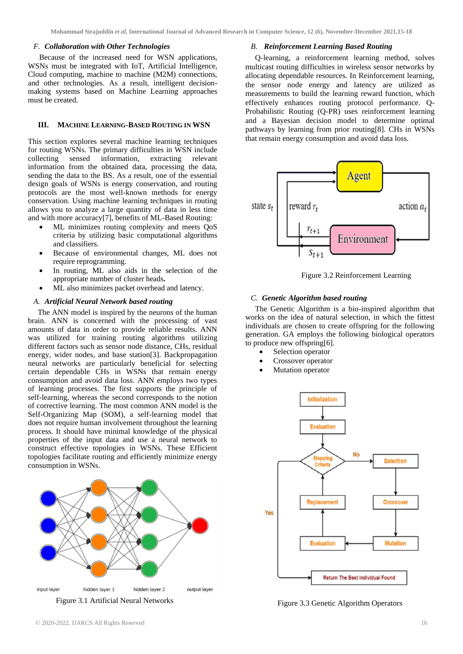#### *F. Collaboration with Other Technologies*

Because of the increased need for WSN applications, WSNs must be integrated with IoT, Artificial Intelligence, Cloud computing, machine to machine (M2M) connections, and other technologies. As a result, intelligent decisionmaking systems based on Machine Learning approaches must be created.

## **III. MACHINE LEARNING-BASED ROUTING IN WSN**

This section explores several machine learning techniques for routing WSNs. The primary difficulties in WSN include collecting sensed information, extracting relevant information from the obtained data, processing the data, sending the data to the BS. As a result, one of the essential design goals of WSNs is energy conservation, and routing protocols are the most well-known methods for energy conservation. Using machine learning techniques in routing allows you to analyze a large quantity of data in less time and with more accuracy[7], benefits of ML-Based Routing:

- ML minimizes routing complexity and meets OoS criteria by utilizing basic computational algorithms and classifiers.
- Because of environmental changes, ML does not require reprogramming.
- In routing, ML also aids in the selection of the appropriate number of cluster heads**.**
- ML also minimizes packet overhead and latency.

#### *A. Artificial Neural Network based routing*

 The ANN model is inspired by the neurons of the human brain. ANN is concerned with the processing of vast amounts of data in order to provide reliable results. ANN was utilized for training routing algorithms utilizing different factors such as sensor node distance, CHs, residual energy, wider nodes, and base station[3]. Backpropagation neural networks are particularly beneficial for selecting certain dependable CHs in WSNs that remain energy consumption and avoid data loss. ANN employs two types of learning processes. The first supports the principle of self-learning, whereas the second corresponds to the notion of corrective learning. The most common ANN model is the Self-Organizing Map (SOM), a self-learning model that does not require human involvement throughout the learning process. It should have minimal knowledge of the physical properties of the input data and use a neural network to construct effective topologies in WSNs. These Efficient topologies facilitate routing and efficiently minimize energy consumption in WSNs.





#### *B. Reinforcement Learning Based Routing*

 Q-learning, a reinforcement learning method, solves multicast routing difficulties in wireless sensor networks by allocating dependable resources. In Reinforcement learning, the sensor node energy and latency are utilized as measurements to build the learning reward function, which effectively enhances routing protocol performance. Q-Probabilistic Routing (Q-PR) uses reinforcement learning and a Bayesian decision model to determine optimal pathways by learning from prior routing[8]. CHs in WSNs that remain energy consumption and avoid data loss.



Figure 3.2 Reinforcement Learning

#### *C. Genetic Algorithm based routing*

 The Genetic Algorithm is a bio-inspired algorithm that works on the idea of natural selection, in which the fittest individuals are chosen to create offspring for the following generation. GA employs the following biological operators to produce new offspring[6].

- Selection operator
- Crossover operator
- Mutation operator



Figure 3.3 Genetic Algorithm Operators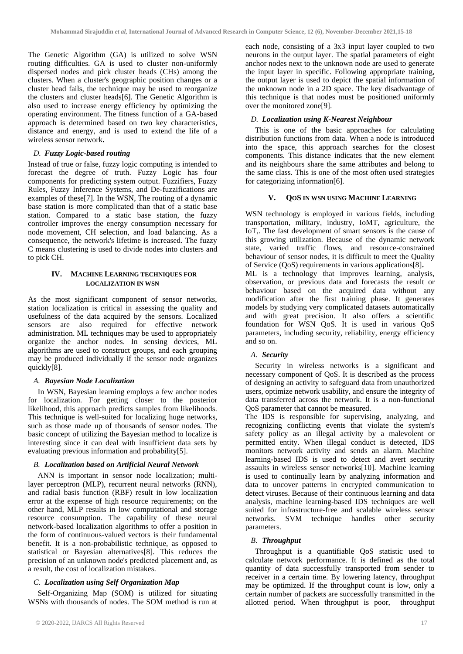The Genetic Algorithm (GA) is utilized to solve WSN routing difficulties. GA is used to cluster non-uniformly dispersed nodes and pick cluster heads (CHs) among the clusters. When a cluster's geographic position changes or a cluster head fails, the technique may be used to reorganize the clusters and cluster heads[6]. The Genetic Algorithm is also used to increase energy efficiency by optimizing the operating environment. The fitness function of a GA-based approach is determined based on two key characteristics, distance and energy, and is used to extend the life of a wireless sensor network**.**

## *D. Fuzzy Logic-based routing*

Instead of true or false, fuzzy logic computing is intended to forecast the degree of truth. Fuzzy Logic has four components for predicting system output. Fuzzifiers, Fuzzy Rules, Fuzzy Inference Systems, and De-fuzzifications are examples of these[7]. In the WSN, The routing of a dynamic base station is more complicated than that of a static base station. Compared to a static base station, the fuzzy controller improves the energy consumption necessary for node movement, CH selection, and load balancing. As a consequence, the network's lifetime is increased. The fuzzy C means clustering is used to divide nodes into clusters and to pick CH.

#### **IV. MACHINE LEARNING TECHNIQUES FOR LOCALIZATION IN WSN**

As the most significant component of sensor networks, station localization is critical in assessing the quality and usefulness of the data acquired by the sensors. Localized sensors are also required for effective network administration. ML techniques may be used to appropriately organize the anchor nodes. In sensing devices, ML algorithms are used to construct groups, and each grouping may be produced individually if the sensor node organizes quickly[8].

#### *A. Bayesian Node Localization*

 In WSN, Bayesian learning employs a few anchor nodes for localization. For getting closer to the posterior likelihood, this approach predicts samples from likelihoods. This technique is well-suited for localizing huge networks, such as those made up of thousands of sensor nodes. The basic concept of utilizing the Bayesian method to localize is interesting since it can deal with insufficient data sets by evaluating previous information and probability[5].

#### *B. Localization based on Artificial Neural Network*

 ANN is important in sensor node localization; multilayer perceptron (MLP), recurrent neural networks (RNN), and radial basis function (RBF) result in low localization error at the expense of high resource requirements; on the other hand, MLP results in low computational and storage resource consumption. The capability of these neural network-based localization algorithms to offer a position in the form of continuous-valued vectors is their fundamental benefit. It is a non-probabilistic technique, as opposed to statistical or Bayesian alternatives[8]. This reduces the precision of an unknown node's predicted placement and, as a result, the cost of localization mistakes.

# *C. Localization using Self Organization Map*

 Self-Organizing Map (SOM) is utilized for situating WSNs with thousands of nodes. The SOM method is run at

each node, consisting of a 3x3 input layer coupled to two neurons in the output layer. The spatial parameters of eight anchor nodes next to the unknown node are used to generate the input layer in specific. Following appropriate training, the output layer is used to depict the spatial information of the unknown node in a 2D space. The key disadvantage of this technique is that nodes must be positioned uniformly over the monitored zone[9].

#### *D. Localization using K-Nearest Neighbour*

 This is one of the basic approaches for calculating distribution functions from data. When a node is introduced into the space, this approach searches for the closest components. This distance indicates that the new element and its neighbours share the same attributes and belong to the same class. This is one of the most often used strategies for categorizing information[6].

#### **V. QOS IN WSN USING MACHINE LEARNING**

WSN technology is employed in various fields, including transportation, military, industry, IoMT, agriculture, the IoT,. The fast development of smart sensors is the cause of this growing utilization. Because of the dynamic network state, varied traffic flows, and resource-constrained behaviour of sensor nodes, it is difficult to meet the Quality of Service (QoS) requirements in various applications[8]**.**

ML is a technology that improves learning, analysis, observation, or previous data and forecasts the result or behaviour based on the acquired data without any modification after the first training phase. It generates models by studying very complicated datasets automatically and with great precision. It also offers a scientific foundation for WSN QoS. It is used in various QoS parameters, including security, reliability, energy efficiency and so on.

# *A. Security*

 Security in wireless networks is a significant and necessary component of QoS. It is described as the process of designing an activity to safeguard data from unauthorized users, optimize network usability, and ensure the integrity of data transferred across the network. It is a non-functional QoS parameter that cannot be measured.

The IDS is responsible for supervising, analyzing, and recognizing conflicting events that violate the system's safety policy as an illegal activity by a malevolent or permitted entity. When illegal conduct is detected, IDS monitors network activity and sends an alarm. Machine learning-based IDS is used to detect and avert security assaults in wireless sensor networks[10]. Machine learning is used to continually learn by analyzing information and data to uncover patterns in encrypted communication to detect viruses. Because of their continuous learning and data analysis, machine learning-based IDS techniques are well suited for infrastructure-free and scalable wireless sensor networks. SVM technique handles other security parameters.

#### *B. Throughput*

 Throughput is a quantifiable QoS statistic used to calculate network performance. It is defined as the total quantity of data successfully transported from sender to receiver in a certain time. By lowering latency, throughput may be optimized. If the throughput count is low, only a certain number of packets are successfully transmitted in the allotted period. When throughput is poor, throughput